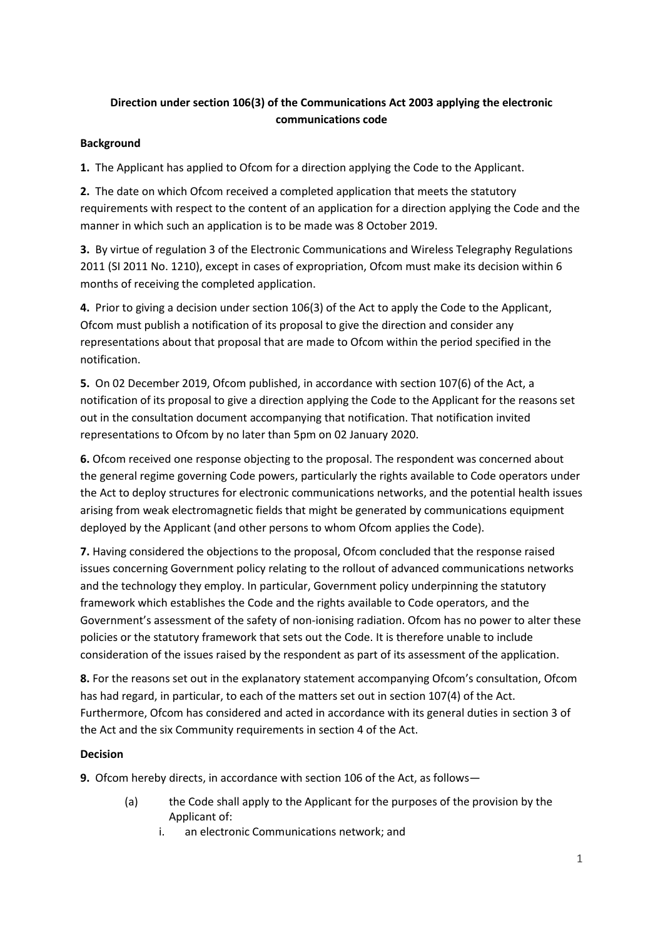# **Direction under section 106(3) of the Communications Act 2003 applying the electronic communications code**

# **Background**

**1.** The Applicant has applied to Ofcom for a direction applying the Code to the Applicant.

**2.** The date on which Ofcom received a completed application that meets the statutory requirements with respect to the content of an application for a direction applying the Code and the manner in which such an application is to be made was 8 October 2019.

**3.** By virtue of regulation 3 of the Electronic Communications and Wireless Telegraphy Regulations 2011 (SI 2011 No. 1210), except in cases of expropriation, Ofcom must make its decision within 6 months of receiving the completed application.

**4.** Prior to giving a decision under section 106(3) of the Act to apply the Code to the Applicant, Ofcom must publish a notification of its proposal to give the direction and consider any representations about that proposal that are made to Ofcom within the period specified in the notification.

**5.** On 02 December 2019, Ofcom published, in accordance with section 107(6) of the Act, a notification of its proposal to give a direction applying the Code to the Applicant for the reasons set out in the consultation document accompanying that notification. That notification invited representations to Ofcom by no later than 5pm on 02 January 2020.

**6.** Ofcom received one response objecting to the proposal. The respondent was concerned about the general regime governing Code powers, particularly the rights available to Code operators under the Act to deploy structures for electronic communications networks, and the potential health issues arising from weak electromagnetic fields that might be generated by communications equipment deployed by the Applicant (and other persons to whom Ofcom applies the Code).

**7.** Having considered the objections to the proposal, Ofcom concluded that the response raised issues concerning Government policy relating to the rollout of advanced communications networks and the technology they employ. In particular, Government policy underpinning the statutory framework which establishes the Code and the rights available to Code operators, and the Government's assessment of the safety of non-ionising radiation. Ofcom has no power to alter these policies or the statutory framework that sets out the Code. It is therefore unable to include consideration of the issues raised by the respondent as part of its assessment of the application.

**8.** For the reasons set out in the explanatory statement accompanying Ofcom's consultation, Ofcom has had regard, in particular, to each of the matters set out in section 107(4) of the Act. Furthermore, Ofcom has considered and acted in accordance with its general duties in section 3 of the Act and the six Community requirements in section 4 of the Act.

# **Decision**

**9.** Ofcom hereby directs, in accordance with section 106 of the Act, as follows—

- (a) the Code shall apply to the Applicant for the purposes of the provision by the Applicant of:
	- i. an electronic Communications network; and